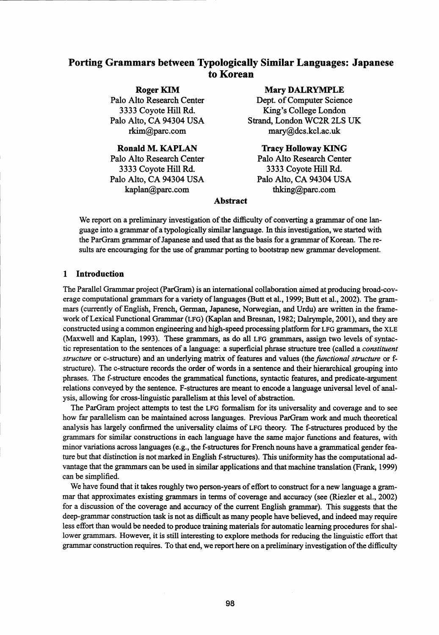# Porting Grammars between Typologically Similar Languages: Japanese to Korean

Roger KIM Palo Alto Research Center 3333 Coyote Hill Rd. Palo Alto, CA 94304 USA rkim@parc.com

Ronald M. KAPLAN Palo Alto Research Center 3333 Coyote Hill Rd. Palo Alto, CA 94304 USA kaplan@parc.com

## Mary DALRYMPLE

Dept. of Computer Science King's College London Strand, London WC2R 2LS UK mary@dcs.kcl.ac.uk

Tracy Holloway KING Palo Alto Research Center 3333 Coyote Hill Rd. Palo Alto, CA 94304 USA thking@parc.com

#### Abstract

We report on a preliminary investigation of the difficulty of converting a grammar of one language into a grammar of a typologically similar language. In this investigation, we started with the ParGram grammar of Japanese and used that as the basis for a grammar of Korean. The results are encouraging for the use of grammar porting to bootstrap new grammar development.

## 1 Introduction

The Parallel Grammar project (ParGram) is an international collaboration aimed at producing broad-coverage computational grammars for a variety of languages (Butt et al., 1999; Butt et al., 2002). The grammars (currently of English, French, German, Japanese, Norwegian, and Urdu) are written in the framework of Lexical Functional Grammar (LFG) (Kaplan and Bresnan, 1982; Dalrymple, 2001), and they are constructed using a common engineering and high-speed processing platform for LFG grammars, the XLE (Maxwell and Kaplan, 1993). These grammars, as do all LFG grammars, assign two levels of syntactic representation to the sentences of a language: a superficial phrase structure tree (called a *constituent structure* or c-structure) and an underlying matrix of features and values (the *functional structure* or fstructure). The c-structure records the order of words in a sentence and their hierarchical grouping into phrases. The f-structure encodes the grammatical functions, syntactic features, and predicate-argument relations conveyed by the sentence. F-structures are meant to encode a language universal level of analysis, allowing for cross-linguistic parallelism at this level of abstraction.

The ParGram project attempts to test the LFG formalism for its universality and coverage and to see how far parallelism can be maintained across languages. Previous ParGram work and much theoretical analysis has largely confirmed the universality claims of LFG theory. The f-structures produced by the grammars for similar constructions in each language have the same major functions and features, with minor variations across languages (e.g., the f-structures for French nouns have a grammatical gender feature but that distinction is not marked in English f-structures). This uniformity has the computational advantage that the grammars can be used in similar applications and that machine translation (Frank, 1999) can be simplified.

We have found that it takes roughly two person-years of effort to construct for a new language a grammar that approximates existing grammars in terms of coverage and accuracy (see (Riezler et al., 2002) for a discussion of the coverage and accuracy of the current English grammar). This suggests that the deep-grammar construction task is not as difficult *as many* people have believed, and indeed may require less effort than would be needed to produce training materials for automatic learning procedures for shallower grammars. However, it is still interesting to explore methods for reducing the linguistic effort that grammar construction requires. To that end, we report here on a preliminary investigation of the difficulty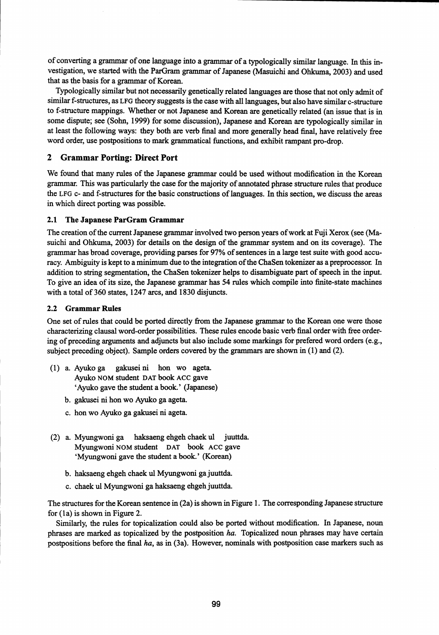of converting a grammar of one language into a grammar of a typologically similar language. In this investigation, we started with the ParGram grammar of Japanese (Masuichi and Ohkuma, 2003) and used that as the basis for a grammar of Korean.

Typologically similar but not necessarily genetically related languages are those that not only admit of similar f-structures, as LFG theory suggests is the case with all languages, but also have similar c-structure to f-structure mappings. Whether or not Japanese and Korean are genetically related (an issue that is in some dispute; see (Sohn, 1999) for some discussion), Japanese and Korean are typologically similar in at least the following ways: they both are verb final and more generally head final, have relatively free word order, use postpositions to mark grammatical functions, and exhibit rampant pro-drop.

## 2 Grammar Porting: Direct Port

We found that many rules of the Japanese grammar could be used without modification in the Korean grammar. This was particularly the case for the majority of annotated phrase structure rules that produce the LFG c- and f-structures for the basic constructions of languages. In this section, we discuss the areas in which direct porting was possible.

## 2.1 The Japanese ParGram Grammar

The creation of the current Japanese grammar involved two person years of work at Fuji Xerox (see (Masuichi and Ohkuma, 2003) for details on the design of the grammar system and on its coverage). The grammar has broad coverage, providing parses for 97% of sentences in a large test suite with good accuracy. Ambiguity is kept to a minimum due to the integration of the ChaSen tokenizer *as a* preprocessor. In addition to string segmentation, the ChaSen tokenizer helps to disambiguate part of speech in the input. To give an idea of its size, the Japanese grammar has 54 rules which compile into finite-state machines with a total of 360 states, 1247 arcs, and 1830 disjuncts.

## 2.2 Grammar Rules

One set of rules that could be ported directly from the Japanese grammar to the Korean one were those characterizing clausal word-order possibilities. These rules encode basic verb final order with free ordering of preceding arguments and adjuncts but also include some markings for prefered word orders (e.g., subject preceding object). Sample orders covered by the grammars are shown in (1) and (2).

- (1) a. Ayuko ga gakusei ni hon wo ageta. Ayuko NOM student DAT book ACC gave `Ayuko gave the student a book.' (Japanese)
	- b. gakusei ni hon wo Ayuko ga ageta.
	- c. hon wo Ayuko ga gakusei ni ageta.
- (2) a. Myungwoni ga haksaeng ehgeh chaek ul juuttda. Myungwoni NOM student DAT book ACC gave `Myungwoni gave the student a book.' (Korean)
	- b. haksaeng ehgeh chaek ul Myungwoni ga juuttda.
	- c. chaek ul Myungwoni ga haksaeng ehgeh juuttda.

The structures for the Korean sentence in (2a) is shown in Figure 1. The corresponding Japanese structure for (la) is shown in Figure 2.

Similarly, the rules for topicalization could also be ported without modification. In Japanese, noun phrases are marked as topicalized by the postposition *ha.* Topicalized noun phrases may have certain postpositions before the final *ha, as* in (3a). However, nominals with postposition case markers such as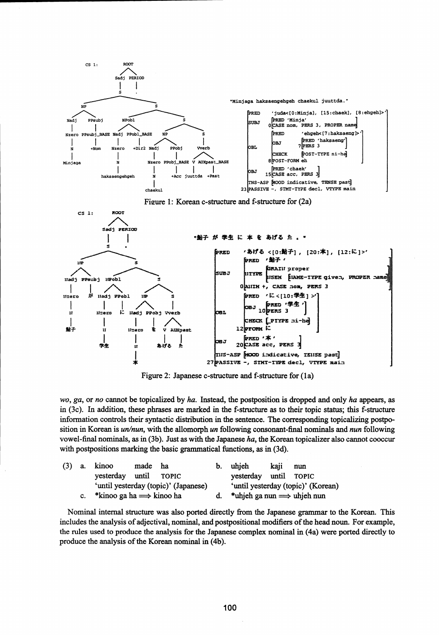





Figure 2: Japanese c-structure and f-structure for (la)

*wo, ga,* or *no* cannot be topicalized by *ha.* Instead, the postposition is dropped and only *ha* appears, as in (3c). In addition, these phrases are marked in the f-structure as to their topic status; this f-structure information controls their syntactic distribution in the sentence. The corresponding topicalizing postposition in Korean is *un/nun,* with the allomorph *un* following consonant-final nominals and *nun* following vowel-final nominals, as in (3b). Just as with the Japanese *ha,* the Korean topicalizer also cannot cooccur with postpositions marking the basic grammatical functions, *as* in (3d).

|  | $(3)$ a. kinoo                              | made ha |                                      | b. | uhieh                                     | kaii | nun                                |
|--|---------------------------------------------|---------|--------------------------------------|----|-------------------------------------------|------|------------------------------------|
|  | yesterday until TOPIC                       |         |                                      |    | vesterday until TOPIC                     |      |                                    |
|  |                                             |         | 'until yesterday (topic)' (Japanese) |    |                                           |      | 'until yesterday (topic)' (Korean) |
|  | c. * kinoo ga ha $\Longrightarrow$ kinoo ha |         |                                      |    | *uhjeh ga nun $\Longrightarrow$ uhjeh nun |      |                                    |

Nominal internal structure was also ported directly from the Japanese grammar to the Korean. This includes the analysis of adjectival, nominal, and postpositional modifiers of the head noun. For example, the rules used to produce the analysis for the Japanese complex nominal in (4a) were ported directly to produce the analysis of the Korean nominal in (4b).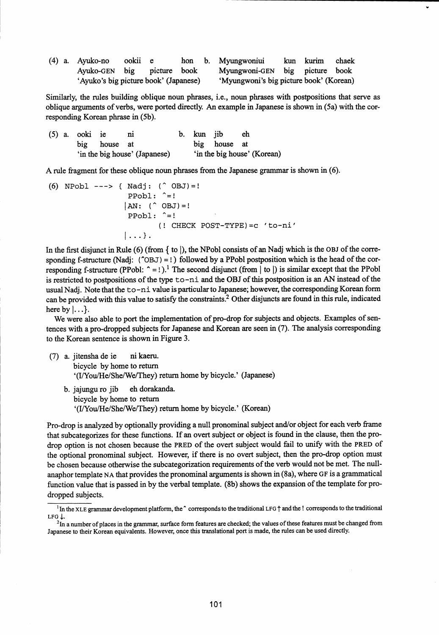|  | $(4)$ a. Ayuko-no ookii e  |                                       |  |  |  | hon b. Myungwoniui                      |  | kun kurim chaek |  |  |
|--|----------------------------|---------------------------------------|--|--|--|-----------------------------------------|--|-----------------|--|--|
|  | Ayuko-GEN big picture book |                                       |  |  |  | Myungwoni-GEN big picture book          |  |                 |  |  |
|  |                            | 'Ayuko's big picture book' (Japanese) |  |  |  | 'Myungwoni's big picture book' (Korean) |  |                 |  |  |

Similarly, the rules building oblique noun phrases, i.e., noun phrases with postpositions that serve as oblique arguments of verbs, were ported directly. An example in Japanese is shown in (5a) with the corresponding Korean phrase in (5b).

|  | $(5)$ a. ooki ie |              | $\mathbf{n}$                  | b. kun jib |              | eh                          |
|--|------------------|--------------|-------------------------------|------------|--------------|-----------------------------|
|  |                  | big house at |                               |            | big house at |                             |
|  |                  |              | 'in the big house' (Japanese) |            |              | 'in the big house' (Korean) |

A rule fragment for these oblique noun phrases from the Japanese grammar is shown in (6).

(6) NPobl 
$$
---
$$
 (Nadj: ( $\cap$  OBJ) = !

\n $|PPobl: \cap =!$ 

\n $|AN: (\cap$  OBJ) = !

\n $PPobl: \cap =!$ 

\n(1 CHECK POST-TYPE) = c  $t$  to-ni

\n $|...$ 

In the first disjunct in Rule  $(6)$  (from  $\{$  to  $\}$ ), the NPobl consists of an Nadj which is the OBJ of the corresponding f-structure (Nadj:  $(^{\circ}OBJ) = !$ ) followed by a PPobl postposition which is the head of the corresponding f-structure (PPobl:  $\hat{=}$  = !).<sup>1</sup> The second disjunct (from | to |) is similar except that the PPobl is restricted to postpositions of the type to-ni and the OBJ of this postposition is an AN instead of the usual Nadj. Note that the to-ni value is particular to Japanese; however, the corresponding Korean form can be provided with this value to satisfy the constraints? Other disjuncts are found in this rule, indicated here by  $|...$ .

We were also able to port the implementation of pro-drop for subjects and objects. Examples of sentences with a pro-dropped subjects for Japanese and Korean are seen in (7). The analysis corresponding to the Korean sentence is shown in Figure 3.

- (7) a. jitensha de ie ni kaeru. bicycle by home to return (I/You/He/She/We/They) return home by bicycle.' (Japanese)
	- b. jajungu ro jib eh dorakanda. bicycle by home to return `(I/You/He/She/We/They) return home by bicycle.' (Korean)

Pro-drop is analyzed by optionally providing a null pronominal subject and/or object for each verb frame that subcategorizes for these functions. If an overt subject or object is found in the clause, then the prodrop option is not chosen because the PRED of the overt subject would fail to unify with the PRED of the optional pronominal subject. However, if there is no overt subject, then the pro-drop option must be chosen because otherwise the subcategorization requirements of the verb would not be met. The nullanaphor template NA that provides the pronominal arguments is shown in (8a), where GF is a grammatical function value that is passed in by the verbal template. (8b) shows the expansion of the template for prodropped subjects.

<sup>&</sup>lt;sup>1</sup>In the XLE grammar development platform, the  $\hat{ }$  corresponds to the traditional LFG  $\uparrow$  and the ! corresponds to the traditional LFG 1.

<sup>&</sup>lt;sup>2</sup>In a number of places in the grammar, surface form features are checked; the values of these features must be changed from Japanese to their Korean equivalents. However, once this translational port is made, the rules can be used directly.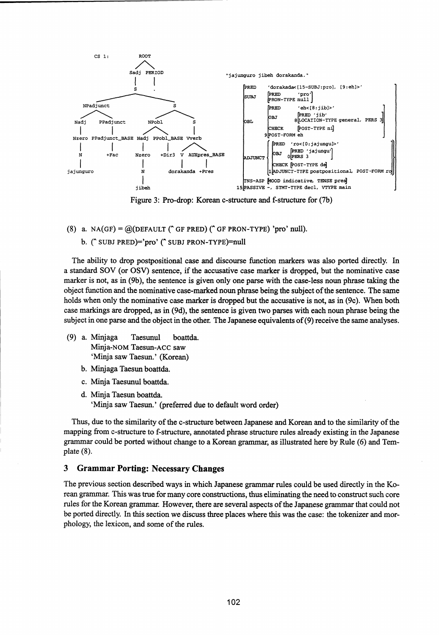

Figure 3: Pro-drop: Korean c-structure and f-structure for (7b)

(8) a. NA(GF) =  $@$ (DEFAULT ( $^{\circ}$  GF PRED) ( $^{\circ}$  GF PRON-TYPE) 'pro' null). b. ("SUBJ PRED)='pro' ("SUBJ PRON-TYPE)=null

The ability to drop postpositional case and discourse function markers was also ported directly. In a standard SOV (or OSV) sentence, if the accusative case marker is dropped, but the nominative case marker is not, as in (9b), the sentence is given only one parse with the case-less noun phrase taking the object function and the nominative case-marked noun phrase being the subject of the sentence. The same holds when only the nominative case marker is dropped but the accusative is not, as in (9c). When both case markings are dropped, as in (9d), the sentence is given two parses with each noun phrase being the subject in one parse and the object in the other. The Japanese equivalents of (9) receive the same analyses.

- (9) a. Minjaga Taesunul boattda. Minja-NOM Taesun-ACC saw `Minja saw Taesun.' (Korean)
	- b. Minjaga Taesun boattda.
	- c. Minja Taesunul boattda.
	- d. Minja Taesun boattda. `Minja saw Taesun.' (preferred due to default word order)

Thus, due to the similarity of the c-structure between Japanese and Korean and to the similarity of the mapping from c-structure to f-structure, annotated phrase structure rules already existing in the Japanese grammar could be ported without change to a Korean grammar, as illustrated here by Rule (6) and Template (8).

## 3 Grammar Porting: Necessary Changes

The previous section described ways in which Japanese grammar rules could be used directly in the Korean grammar. This was true for many core constructions, thus eliminating the need to construct such core rules for the Korean grammar. However, there are several aspects of the Japanese grammar that could not be ported directly. In this section we discuss three places where this was the case: the tokenizer and morphology, the lexicon, and some of the rules.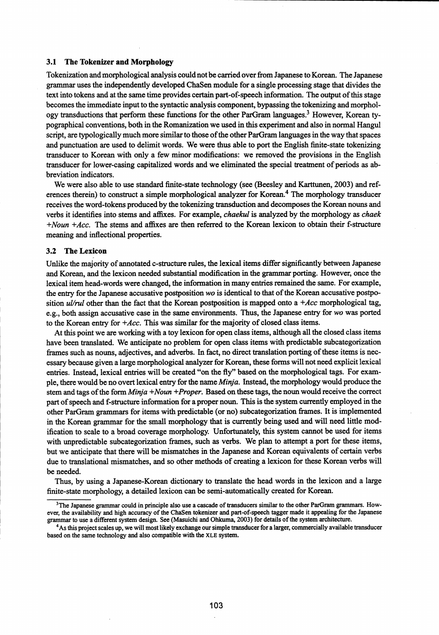#### 3.1 The Tokenizer and Morphology

Tokenization and morphological analysis could not be carried over from Japanese to Korean. The Japanese grammar uses the independently developed ChaSen module for a single processing stage that divides the text into tokens and at the same time provides certain part-of-speech information. The output of this stage becomes the immediate input to the syntactic analysis component, bypassing the tokenizing and morphology transductions that perform these functions for the other ParGram languages.<sup>3</sup> However, Korean typographical conventions, both in the Romanization we used in this experiment and also in normal Hangul script, are typologically much more similar to those of the other ParGram languages in the way that spaces and punctuation are used to delimit words. We were thus able to port the English finite-state tokenizing transducer to Korean with only a few minor modifications: we removed the provisions in the English transducer for lower-casing capitalized words and we eliminated the special treatment of periods *as abbreviation* indicators.

We were also able to use standard finite-state technology (see (Beesley and Karttunen, 2003) and references therein) to construct a simple morphological analyzer for Korean.<sup>4</sup> The morphology transducer receives the word-tokens produced by the tokenizing transduction and decomposes the Korean nouns and verbs it identifies into stems and affixes. For example, *chaekul* is analyzed by the morphology *as chaek +Noun +Acc.* The stems and affixes are then referred to the Korean lexicon to obtain their f-structure meaning and inflectional properties.

#### 3.2 The Lexicon

Unlike the majority of annotated c-structure rules, the lexical items differ significantly between Japanese and Korean, and the lexicon needed substantial modification in the grammar porting. However, once the lexical item head-words were changed, the information in many entries remained the same. For example, the entry for the Japanese accusative postposition wo is identical to that of the Korean accusative postposition *ul/rul* other than the fact that the Korean postposition is mapped onto a *+Acc* morphological tag, e.g., both assign accusative case in the same environments. Thus, the Japanese entry for *wo* was ported to the Korean entry for *+Acc.* This was similar for the majority of closed class items.

At this point we are working with a toy lexicon for open class items, although all the closed class items have been translated. We anticipate no problem for open class items with predictable subcategorization frames such as nouns, adjectives, and adverbs. In fact, no direct translation porting of these items is necessary because given a large morphological analyzer for Korean, these forms will not need explicit lexical entries. Instead, lexical entries will be created "on the fly" based on the morphological tags. For example, there would be no overt lexical entry for the name *Minja.* Instead, the morphology would produce the stem and tags of the form *Minja +Noun +Proper.* Based on these tags, the noun would receive the correct part of speech and f-structure information for a proper noun. This is the system currently employed in the other ParGram grammars for items with predictable (or no) subcategorization frames. It is implemented in the Korean grammar for the small morphology that is currently being used and will need little modification to scale to a broad coverage morphology. Unfortunately, this system cannot be used for items with unpredictable subcategorization frames, such as verbs. We plan to attempt a port for these items, but we anticipate that there will be mismatches in the Japanese and Korean equivalents of certain verbs due to translational mismatches, and so other methods of creating a lexicon for these Korean verbs will be needed.

Thus, by using a Japanese-Korean dictionary to translate the head words in the lexicon and a large finite-state morphology, a detailed lexicon can be semi-automatically created for Korean.

<sup>&</sup>lt;sup>3</sup>The Japanese grammar could in principle also use a cascade of transducers similar to the other ParGram grammars. However, the availability and high accuracy of the ChaSen tokenizer and part-of-speech tagger made it appealing for the Japanese grammar to use a different system design. See (Masuichi and Ohkuma, 2003) for details of the system architecture.

<sup>4</sup>As this project scales up, we will most likely exchange our simple transducer for a larger, commercially available transducer based on the same technology and also compatible with the XLE system.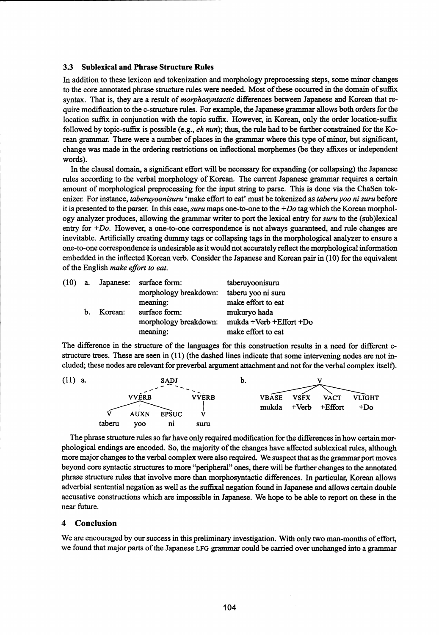#### 3.3 Sublexical and Phrase Structure Rules

In addition to these lexicon and tokenization and morphology preprocessing steps, some minor changes to the core annotated phrase structure rules were needed. Most of these occurred in the domain of suffix. syntax. That is, they are a result of *morphosyntactic* differences between Japanese and Korean that require modification to the c-structure rules. For example, the Japanese grammar allows both orders for the location suffix in conjunction with the topic suffix. However, in Korean, only the order location-suffix followed by topic-suffix is possible (e.g., *eh nun);* thus, the rule had to be further constrained for the Korean grammar. There were a number of places in the grammar where this type of minor, but significant, change was made in the ordering restrictions on inflectional morphemes (be they affixes or independent words).

In the clausal domain, a significant effort will be necessary for expanding (or collapsing) the Japanese rules according to the verbal morphology of Korean. The current Japanese grammar requires a certain, amount of morphological preprocessing for the input string to parse. This is done via the ChaSen tokenizer. For instance, *taberuyoonisuru 'make* effort to eat' must be tokenized as *taberu yoo ni suru* before it is presented to the parser. In this case, *suru* maps one-to-one to the *+Do tag* which the Korean morphology analyzer produces, allowing the grammar writer to port the lexical entry for *suru* to the (sub)lexical entry for *+Do*. However, a one-to-one correspondence is not always guaranteed, and rule changes are inevitable. Artificially creating dummy tags or collapsing tags in the morphological analyzer to ensure a one-to-one correspondence is undesirable as it would not accurately reflect the morphological information embedded in the inflected Korean verb. Consider the Japanese and Korean pair in (10) for the equivalent of the English *make effort to eat.*

| (10) | а.             |         | Japanese: surface form: | taberuyoonisuru         |
|------|----------------|---------|-------------------------|-------------------------|
|      |                |         | morphology breakdown:   | taberu yoo ni suru      |
|      |                |         | meaning:                | make effort to eat      |
|      | $\mathbf{b}$ . | Korean: | surface form:           | mukuryo hada            |
|      |                |         | morphology breakdown:   | mukda +Verb +Effort +Do |
|      |                |         | meaning:                | make effort to eat      |

The difference in the structure of the languages for this construction results in a need for different cstructure trees. These are seen in (11) (the dashed lines indicate that some intervening nodes are not included; these nodes are relevant for preverbal argument attachment and not for the verbal complex itself).



The phrase structure rules so far have only required modification for the differences in how certain morphological endings are encoded. So, the majority of the changes have affected sublexical rules, although more major changes to the verbal complex were also required. We suspect that as the grammar port moves beyond core syntactic structures to more "peripheral" ones, there will be further changes to the annotated phrase structure rules that involve more than morphosyntactic differences. In particular, Korean allows adverbial sentential negation as well as the suffixal negation found in Japanese and allows certain double accusative constructions which are impossible in Japanese. We hope to be able to report on these in the near future.

#### 4 Conclusion

We are encouraged by our success in this preliminary investigation. With only two man-months of effort, we found that major parts of the Japanese LFG *grammar* could be carried over unchanged into a grammar